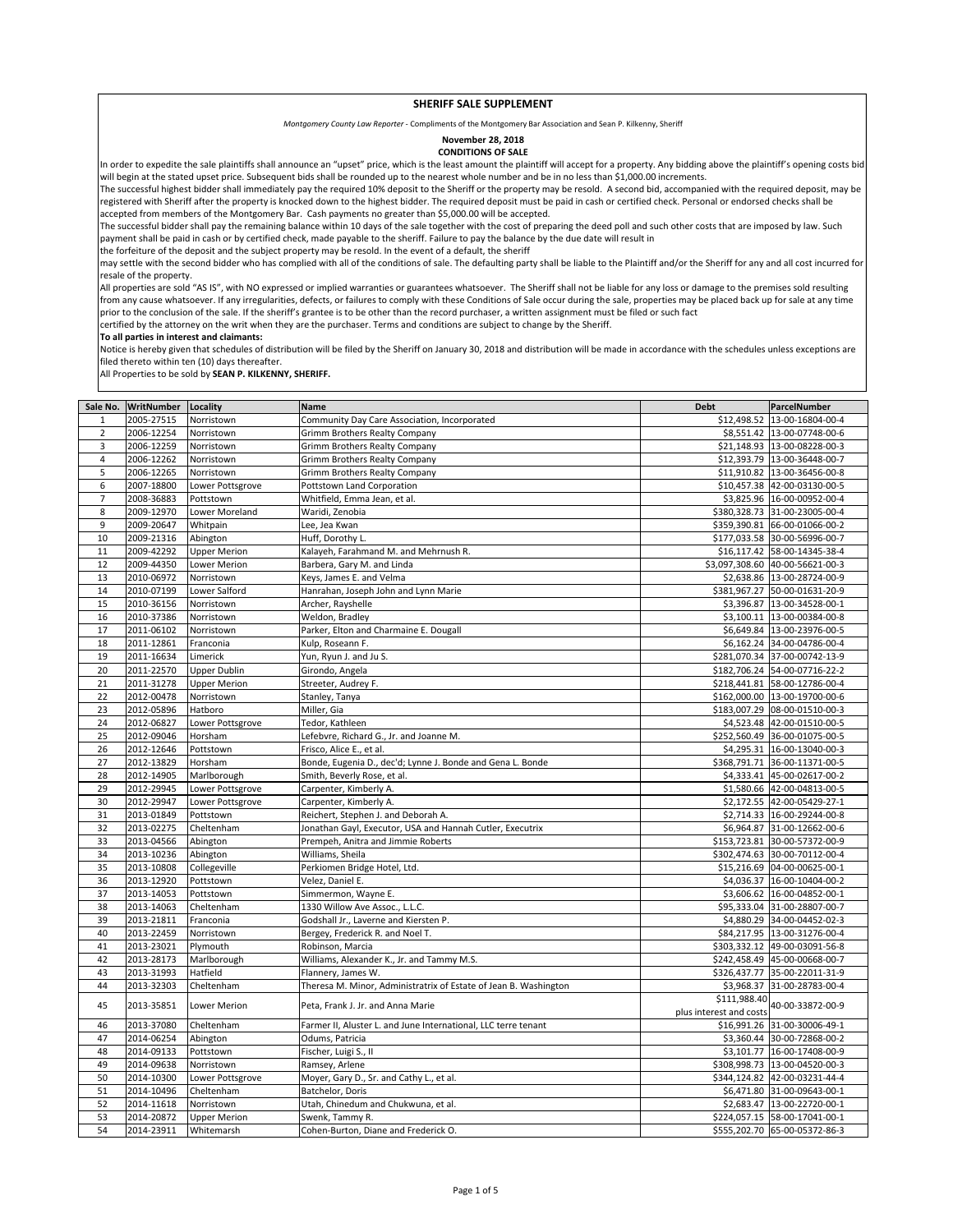## **SHERIFF SALE SUPPLEMENT**

*Montgomery County Law Reporter ‐* Compliments of the Montgomery Bar Association and Sean P. Kilkenny, Sheriff

## **November 28, 2018**

**CONDITIONS OF SALE**

In order to expedite the sale plaintiffs shall announce an "upset" price, which is the least amount the plaintiff will accept for a property. Any bidding above the plaintiff's opening costs bid will begin at the stated upset price. Subsequent bids shall be rounded up to the nearest whole number and be in no less than \$1,000.00 increments.

The successful highest bidder shall immediately pay the required 10% deposit to the Sheriff or the property may be resold. A second bid, accompanied with the required deposit, may be registered with Sheriff after the property is knocked down to the highest bidder. The required deposit must be paid in cash or certified check. Personal or endorsed checks shall be accepted from members of the Montgomery Bar. Cash payments no greater than \$5,000.00 will be accepted.

The successful bidder shall pay the remaining balance within 10 days of the sale together with the cost of preparing the deed poll and such other costs that are imposed by law. Such payment shall be paid in cash or by certified check, made payable to the sheriff. Failure to pay the balance by the due date will result in

the forfeiture of the deposit and the subject property may be resold. In the event of a default, the sheriff

may settle with the second bidder who has complied with all of the conditions of sale. The defaulting party shall be liable to the Plaintiff and/or the Sheriff for any and all cost incurred for resale of the property.

All properties are sold "AS IS", with NO expressed or implied warranties or guarantees whatsoever. The Sheriff shall not be liable for any loss or damage to the premises sold resulting from any cause whatsoever. If any irregularities, defects, or failures to comply with these Conditions of Sale occur during the sale, properties may be placed back up for sale at any time prior to the conclusion of the sale. If the sheriff's grantee is to be other than the record purchaser, a written assignment must be filed or such fact

certified by the attorney on the writ when they are the purchaser. Terms and conditions are subject to change by the Sheriff.

## **To all parties in interest and claimants:**

Notice is hereby given that schedules of distribution will be filed by the Sheriff on January 30, 2018 and distribution will be made in accordance with the schedules unless exceptions are filed thereto within ten (10) days thereafter.

All Properties to be sold by **SEAN P. KILKENNY, SHERIFF.**

| Sale No.       | WritNumber | Locality            | <b>Name</b>                                                      | <b>Debt</b>                             | ParcelNumber                    |
|----------------|------------|---------------------|------------------------------------------------------------------|-----------------------------------------|---------------------------------|
| $\mathbf{1}$   | 2005-27515 | Norristown          | Community Day Care Association, Incorporated                     |                                         | \$12,498.52 13-00-16804-00-4    |
| $\overline{2}$ | 2006-12254 | Norristown          | Grimm Brothers Realty Company                                    |                                         | \$8,551.42 13-00-07748-00-6     |
| 3              | 2006-12259 | Norristown          | <b>Grimm Brothers Realty Company</b>                             |                                         | \$21,148.93 13-00-08228-00-3    |
| $\overline{4}$ | 2006-12262 | Norristown          | Grimm Brothers Realty Company                                    |                                         | \$12,393.79 13-00-36448-00-7    |
| 5              | 2006-12265 | Norristown          | <b>Grimm Brothers Realty Company</b>                             |                                         | \$11,910.82 13-00-36456-00-8    |
| 6              | 2007-18800 | Lower Pottsgrove    | Pottstown Land Corporation                                       |                                         | \$10,457.38 42-00-03130-00-5    |
| $\overline{7}$ | 2008-36883 | Pottstown           | Whitfield, Emma Jean, et al.                                     |                                         | \$3,825.96 16-00-00952-00-4     |
| 8              | 2009-12970 | Lower Moreland      | Waridi, Zenobia                                                  |                                         | \$380,328.73 31-00-23005-00-4   |
| 9              | 2009-20647 | Whitpain            | Lee, Jea Kwan                                                    |                                         | \$359,390.81 66-00-01066-00-2   |
| 10             | 2009-21316 | Abington            | Huff, Dorothy L.                                                 |                                         | \$177,033.58 30-00-56996-00-7   |
| 11             | 2009-42292 | <b>Upper Merion</b> | Kalayeh, Farahmand M. and Mehrnush R.                            |                                         | \$16,117.42 58-00-14345-38-4    |
| 12             | 2009-44350 | Lower Merion        | Barbera, Gary M. and Linda                                       |                                         | \$3,097,308.60 40-00-56621-00-3 |
| 13             | 2010-06972 | Norristown          | Keys, James E. and Velma                                         |                                         | \$2,638.86 13-00-28724-00-9     |
| 14             | 2010-07199 | Lower Salford       | Hanrahan, Joseph John and Lynn Marie                             |                                         | \$381,967.27 50-00-01631-20-9   |
| 15             | 2010-36156 | Norristown          | Archer, Rayshelle                                                |                                         | \$3,396.87 13-00-34528-00-1     |
| 16             | 2010-37386 | Norristown          | Weldon, Bradley                                                  |                                         | \$3,100.11 13-00-00384-00-8     |
| 17             | 2011-06102 | Norristown          | Parker, Elton and Charmaine E. Dougall                           |                                         | \$6,649.84 13-00-23976-00-5     |
| 18             | 2011-12861 | Franconia           | Kulp, Roseann F.                                                 |                                         | \$6,162.24 34-00-04786-00-4     |
| 19             | 2011-16634 | Limerick            | Yun, Ryun J. and Ju S.                                           |                                         | \$281,070.34 37-00-00742-13-9   |
| 20             | 2011-22570 | Upper Dublin        | Girondo, Angela                                                  |                                         | \$182,706.24 54-00-07716-22-2   |
| 21             | 2011-31278 | <b>Upper Merion</b> | Streeter, Audrey F.                                              |                                         | \$218,441.81 58-00-12786-00-4   |
| 22             | 2012-00478 | Norristown          | Stanley, Tanya                                                   |                                         | \$162,000.00 13-00-19700-00-6   |
| 23             | 2012-05896 | Hatboro             | Miller, Gia                                                      |                                         | \$183,007.29 08-00-01510-00-3   |
| 24             | 2012-06827 | Lower Pottsgrove    | Tedor, Kathleen                                                  |                                         | \$4,523.48 42-00-01510-00-5     |
| 25             | 2012-09046 | Horsham             | Lefebvre, Richard G., Jr. and Joanne M.                          |                                         | \$252,560.49 36-00-01075-00-5   |
| 26             | 2012-12646 | Pottstown           | Frisco, Alice E., et al.                                         |                                         | \$4,295.31 16-00-13040-00-3     |
| 27             | 2012-13829 | Horsham             | Bonde, Eugenia D., dec'd; Lynne J. Bonde and Gena L. Bonde       |                                         | \$368,791.71 36-00-11371-00-5   |
| 28             | 2012-14905 | Marlborough         | Smith, Beverly Rose, et al.                                      |                                         | \$4,333.41 45-00-02617-00-2     |
| 29             | 2012-29945 | Lower Pottsgrove    | Carpenter, Kimberly A.                                           |                                         | \$1,580.66 42-00-04813-00-5     |
| 30             | 2012-29947 | Lower Pottsgrove    | Carpenter, Kimberly A.                                           |                                         | \$2,172.55 42-00-05429-27-1     |
| 31             | 2013-01849 | Pottstown           | Reichert, Stephen J. and Deborah A.                              |                                         | \$2,714.33 16-00-29244-00-8     |
| 32             | 2013-02275 | Cheltenham          | Jonathan Gayl, Executor, USA and Hannah Cutler, Executrix        |                                         | \$6,964.87 31-00-12662-00-6     |
| 33             | 2013-04566 | Abington            | Prempeh, Anitra and Jimmie Roberts                               |                                         | \$153,723.81 30-00-57372-00-9   |
| 34             | 2013-10236 | Abington            | Williams, Sheila                                                 |                                         | \$302,474.63 30-00-70112-00-4   |
| 35             | 2013-10808 | Collegeville        | Perkiomen Bridge Hotel, Ltd.                                     |                                         | \$15,216.69 04-00-00625-00-1    |
| 36             | 2013-12920 | Pottstown           | Velez, Daniel E.                                                 |                                         | \$4,036.37 16-00-10404-00-2     |
| 37             | 2013-14053 | Pottstown           | Simmermon, Wayne E.                                              |                                         | \$3,606.62 16-00-04852-00-1     |
| 38             | 2013-14063 | Cheltenham          | 1330 Willow Ave Assoc., L.L.C.                                   |                                         | \$95,333.04 31-00-28807-00-7    |
| 39             | 2013-21811 | Franconia           | Godshall Jr., Laverne and Kiersten P.                            |                                         | \$4,880.29 34-00-04452-02-3     |
| 40             | 2013-22459 | Norristown          | Bergey, Frederick R. and Noel T.                                 |                                         | \$84,217.95 13-00-31276-00-4    |
| 41             | 2013-23021 | Plymouth            | Robinson, Marcia                                                 |                                         | \$303,332.12 49-00-03091-56-8   |
| 42             | 2013-28173 | Marlborough         | Williams, Alexander K., Jr. and Tammy M.S.                       |                                         | \$242,458.49 45-00-00668-00-7   |
| 43             | 2013-31993 | Hatfield            | Flannery, James W.                                               |                                         | \$326,437.77 35-00-22011-31-9   |
| 44             | 2013-32303 | Cheltenham          | Theresa M. Minor, Administratrix of Estate of Jean B. Washington |                                         | \$3,968.37 31-00-28783-00-4     |
| 45             | 2013-35851 | Lower Merion        | Peta, Frank J. Jr. and Anna Marie                                | \$111,988.40<br>plus interest and costs | 40-00-33872-00-9                |
| 46             | 2013-37080 | Cheltenham          | Farmer II, Aluster L. and June International, LLC terre tenant   |                                         | \$16,991.26 31-00-30006-49-1    |
| 47             | 2014-06254 | Abington            | Odums, Patricia                                                  |                                         | \$3,360.44 30-00-72868-00-2     |
| 48             | 2014-09133 | Pottstown           | Fischer, Luigi S., II                                            |                                         | \$3,101.77 16-00-17408-00-9     |
| 49             | 2014-09638 | Norristown          | Ramsey, Arlene                                                   |                                         | \$308,998.73 13-00-04520-00-3   |
| 50             | 2014-10300 | Lower Pottsgrove    | Moyer, Gary D., Sr. and Cathy L., et al.                         |                                         | \$344,124.82 42-00-03231-44-4   |
| 51             | 2014-10496 | Cheltenham          | Batchelor, Doris                                                 |                                         | \$6,471.80 31-00-09643-00-1     |
| 52             | 2014-11618 | Norristown          | Utah, Chinedum and Chukwuna, et al.                              |                                         | \$2,683.47 13-00-22720-00-1     |
| 53             | 2014-20872 | <b>Upper Merion</b> | Swenk, Tammy R.                                                  |                                         | \$224,057.15 58-00-17041-00-1   |
| 54             | 2014-23911 | Whitemarsh          | Cohen-Burton, Diane and Frederick O.                             |                                         | \$555,202.70 65-00-05372-86-3   |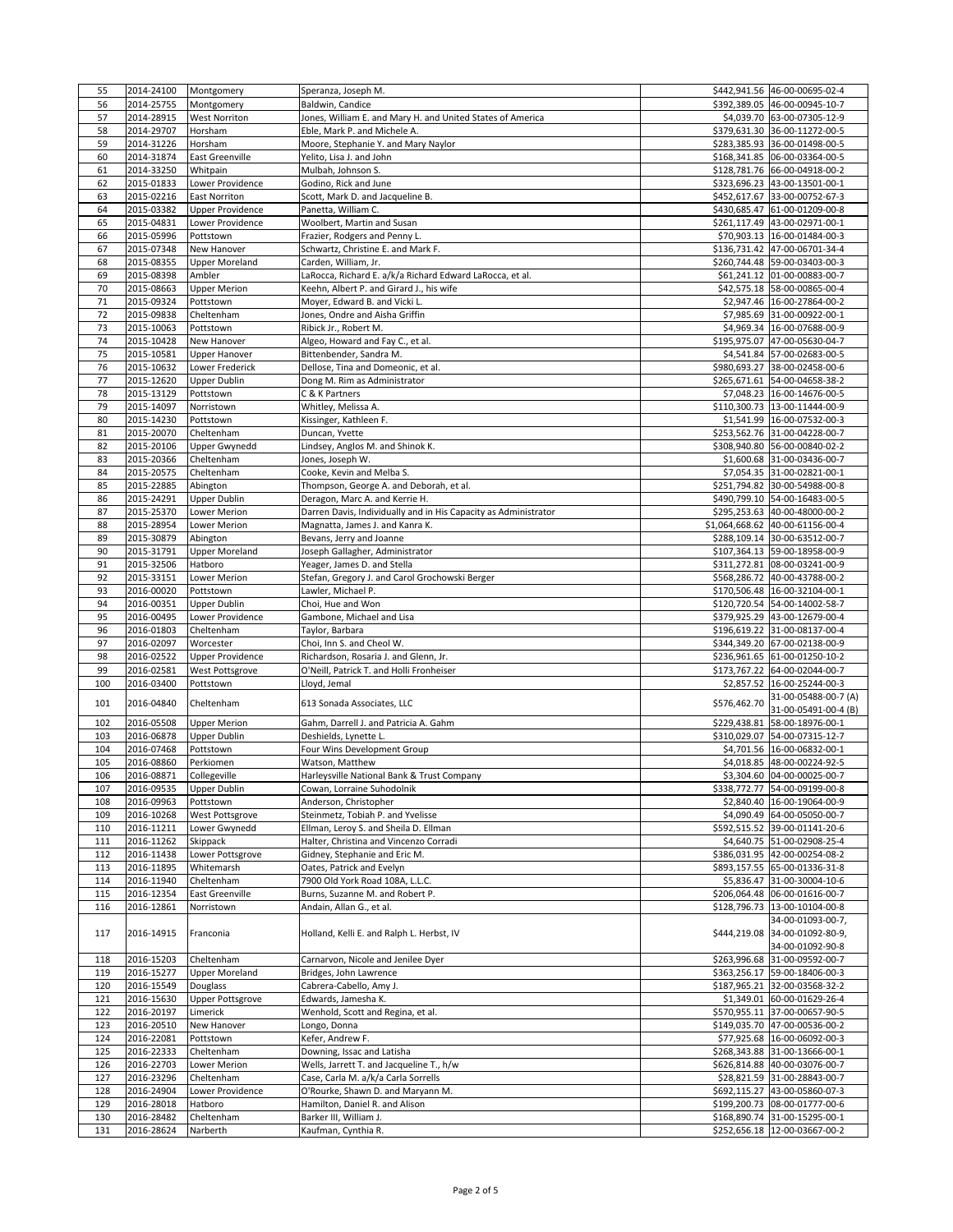| 55  | 2014-24100 | Montgomery              | Speranza, Joseph M.                                             |              | \$442,941.56 46-00-00695-02-4   |
|-----|------------|-------------------------|-----------------------------------------------------------------|--------------|---------------------------------|
|     |            |                         |                                                                 |              |                                 |
| 56  | 2014-25755 | Montgomery              | Baldwin, Candice                                                |              | \$392,389.05 46-00-00945-10-7   |
| 57  | 2014-28915 | <b>West Norriton</b>    | Jones, William E. and Mary H. and United States of America      |              | \$4,039.70 63-00-07305-12-9     |
| 58  | 2014-29707 |                         |                                                                 |              | \$379,631.30 36-00-11272-00-5   |
|     |            | Horsham                 | Eble, Mark P. and Michele A.                                    |              |                                 |
| 59  | 2014-31226 | Horsham                 | Moore, Stephanie Y. and Mary Naylor                             |              | \$283,385.93 36-00-01498-00-5   |
| 60  | 2014-31874 | East Greenville         | Yelito, Lisa J. and John                                        |              | \$168,341.85 06-00-03364-00-5   |
| 61  | 2014-33250 | Whitpain                | Mulbah, Johnson S.                                              |              | \$128,781.76 66-00-04918-00-2   |
|     |            |                         |                                                                 |              |                                 |
| 62  | 2015-01833 | Lower Providence        | Godino, Rick and June                                           |              | \$323,696.23 43-00-13501-00-1   |
| 63  | 2015-02216 | <b>East Norriton</b>    | Scott, Mark D. and Jacqueline B.                                |              | \$452,617.67 33-00-00752-67-3   |
|     |            |                         |                                                                 |              |                                 |
| 64  | 2015-03382 | <b>Upper Providence</b> | Panetta, William C.                                             |              | \$430,685.47 61-00-01209-00-8   |
| 65  | 2015-04831 | Lower Providence        | Woolbert, Martin and Susan                                      |              | \$261,117.49 43-00-02971-00-1   |
| 66  | 2015-05996 | Pottstown               | Frazier, Rodgers and Penny L.                                   |              | \$70,903.13 16-00-01484-00-3    |
|     |            |                         |                                                                 |              |                                 |
| 67  | 2015-07348 | New Hanover             | Schwartz, Christine E. and Mark F.                              |              | \$136,731.42 47-00-06701-34-4   |
| 68  | 2015-08355 | <b>Upper Moreland</b>   | Carden, William, Jr.                                            |              | \$260,744.48 59-00-03403-00-3   |
|     |            |                         |                                                                 |              |                                 |
| 69  | 2015-08398 | Ambler                  | LaRocca, Richard E. a/k/a Richard Edward LaRocca, et al.        |              | \$61,241.12 01-00-00883-00-7    |
| 70  | 2015-08663 | <b>Upper Merion</b>     | Keehn, Albert P. and Girard J., his wife                        |              | \$42,575.18 58-00-00865-00-4    |
| 71  | 2015-09324 | Pottstown               | Moyer, Edward B. and Vicki L.                                   |              | \$2,947.46 16-00-27864-00-2     |
|     |            |                         |                                                                 |              |                                 |
| 72  | 2015-09838 | Cheltenham              | Jones, Ondre and Aisha Griffin                                  |              | \$7,985.69 31-00-00922-00-1     |
| 73  | 2015-10063 | Pottstown               | Ribick Jr., Robert M.                                           |              | \$4,969.34 16-00-07688-00-9     |
| 74  | 2015-10428 | New Hanover             | Algeo, Howard and Fay C., et al.                                |              | \$195,975.07 47-00-05630-04-7   |
|     |            |                         |                                                                 |              |                                 |
| 75  | 2015-10581 | <b>Upper Hanover</b>    | Bittenbender, Sandra M.                                         |              | \$4,541.84 57-00-02683-00-5     |
| 76  | 2015-10632 | Lower Frederick         | Dellose, Tina and Domeonic, et al.                              |              | \$980,693.27 38-00-02458-00-6   |
|     |            |                         |                                                                 |              |                                 |
| 77  | 2015-12620 | Upper Dublin            | Dong M. Rim as Administrator                                    |              | \$265,671.61 54-00-04658-38-2   |
| 78  | 2015-13129 | Pottstown               | C & K Partners                                                  |              | \$7,048.23 16-00-14676-00-5     |
| 79  | 2015-14097 | Norristown              | Whitley, Melissa A.                                             |              | \$110,300.73 13-00-11444-00-9   |
|     |            |                         |                                                                 |              |                                 |
| 80  | 2015-14230 | Pottstown               | Kissinger, Kathleen F.                                          |              | \$1,541.99 16-00-07532-00-3     |
| 81  | 2015-20070 | Cheltenham              | Duncan, Yvette                                                  |              | \$253,562.76 31-00-04228-00-7   |
|     |            |                         |                                                                 |              |                                 |
| 82  | 2015-20106 | Upper Gwynedd           | Lindsey, Anglos M. and Shinok K.                                |              | \$308,940.80 56-00-00840-02-2   |
| 83  | 2015-20366 | Cheltenham              | Jones, Joseph W.                                                |              | \$1,600.68 31-00-03436-00-7     |
| 84  | 2015-20575 | Cheltenham              | Cooke, Kevin and Melba S.                                       |              | \$7,054.35 31-00-02821-00-1     |
|     |            |                         |                                                                 |              |                                 |
| 85  | 2015-22885 | Abington                | Thompson, George A. and Deborah, et al.                         |              | \$251,794.82 30-00-54988-00-8   |
| 86  | 2015-24291 | Upper Dublin            | Deragon, Marc A. and Kerrie H.                                  |              | \$490,799.10 54-00-16483-00-5   |
|     |            |                         |                                                                 |              |                                 |
| 87  | 2015-25370 | Lower Merion            | Darren Davis, Individually and in His Capacity as Administrator |              | \$295,253.63 40-00-48000-00-2   |
| 88  | 2015-28954 | Lower Merion            | Magnatta, James J. and Kanra K.                                 |              | \$1,064,668.62 40-00-61156-00-4 |
| 89  | 2015-30879 | Abington                |                                                                 |              | \$288,109.14 30-00-63512-00-7   |
|     |            |                         | Bevans, Jerry and Joanne                                        |              |                                 |
| 90  | 2015-31791 | <b>Upper Moreland</b>   | Joseph Gallagher, Administrator                                 |              | \$107,364.13 59-00-18958-00-9   |
| 91  | 2015-32506 | Hatboro                 | Yeager, James D. and Stella                                     |              | \$311,272.81 08-00-03241-00-9   |
|     |            |                         |                                                                 |              |                                 |
| 92  | 2015-33151 | Lower Merion            | Stefan, Gregory J. and Carol Grochowski Berger                  |              | \$568,286.72 40-00-43788-00-2   |
| 93  | 2016-00020 | Pottstown               | Lawler, Michael P.                                              |              | \$170,506.48 16-00-32104-00-1   |
| 94  | 2016-00351 | Upper Dublin            | Choi, Hue and Won                                               |              | \$120,720.54 54-00-14002-58-7   |
|     |            |                         |                                                                 |              |                                 |
| 95  | 2016-00495 | Lower Providence        | Gambone, Michael and Lisa                                       |              | \$379,925.29 43-00-12679-00-4   |
| 96  | 2016-01803 | Cheltenham              | Taylor, Barbara                                                 |              | \$196,619.22 31-00-08137-00-4   |
|     |            |                         |                                                                 |              |                                 |
| 97  | 2016-02097 | Worcester               | Choi, Inn S. and Cheol W.                                       |              | \$344,349.20 67-00-02138-00-9   |
| 98  | 2016-02522 | <b>Upper Providence</b> | Richardson, Rosaria J. and Glenn, Jr.                           |              | \$236,961.65 61-00-01250-10-2   |
| 99  | 2016-02581 | West Pottsgrove         | O'Neill, Patrick T. and Holli Fronheiser                        |              | \$173,767.22 64-00-02044-00-7   |
|     |            |                         |                                                                 |              |                                 |
| 100 | 2016-03400 | Pottstown               | Lloyd, Jemal                                                    |              | \$2,857.52 16-00-25244-00-3     |
|     |            |                         |                                                                 |              | 31-00-05488-00-7 (A)            |
| 101 | 2016-04840 | Cheltenham              | 613 Sonada Associates, LLC                                      | \$576,462.70 | 31-00-05491-00-4 (B)            |
|     |            |                         |                                                                 |              |                                 |
| 102 | 2016-05508 | <b>Upper Merion</b>     | Gahm, Darrell J. and Patricia A. Gahm                           |              | \$229,438.81 58-00-18976-00-1   |
| 103 | 2016-06878 | Upper Dublin            | Deshields, Lynette L.                                           |              | \$310,029.07 54-00-07315-12-7   |
|     |            |                         |                                                                 |              |                                 |
| 104 | 2016-07468 | Pottstown               | Four Wins Development Group                                     |              | \$4,701.56 16-00-06832-00-1     |
| 105 | 2016-08860 | Perkiomen               | Watson, Matthew                                                 |              | \$4,018.85 48-00-00224-92-5     |
| 106 | 2016-08871 | Collegeville            | Harleysville National Bank & Trust Company                      |              | \$3,304.60 04-00-00025-00-7     |
|     |            |                         |                                                                 |              |                                 |
| 107 | 2016-09535 | <b>Upper Dublin</b>     | Cowan, Lorraine Suhodolnik                                      |              | \$338,772.77 54-00-09199-00-8   |
| 108 | 2016-09963 | Pottstown               | Anderson, Christopher                                           |              | \$2,840.40 16-00-19064-00-9     |
|     |            |                         |                                                                 |              |                                 |
| 109 | 2016-10268 | West Pottsgrove         | Steinmetz, Tobiah P. and Yvelisse                               |              | \$4,090.49 64-00-05050-00-7     |
| 110 | 2016-11211 | Lower Gwynedd           | Ellman, Leroy S. and Sheila D. Ellman                           |              | \$592,515.52 39-00-01141-20-6   |
| 111 | 2016-11262 | Skippack                | Halter, Christina and Vincenzo Corradi                          |              | \$4,640.75 51-00-02908-25-4     |
|     |            |                         |                                                                 |              |                                 |
| 112 | 2016-11438 | Lower Pottsgrove        | Gidney, Stephanie and Eric M.                                   |              | \$386,031.95 42-00-00254-08-2   |
| 113 | 2016-11895 | Whitemarsh              | Oates, Patrick and Evelyn                                       |              | \$893,157.55 65-00-01336-31-8   |
| 114 | 2016-11940 | Cheltenham              | 7900 Old York Road 108A, L.L.C.                                 |              | \$5,836.47 31-00-30004-10-6     |
|     |            |                         |                                                                 |              |                                 |
| 115 | 2016-12354 | East Greenville         | Burns, Suzanne M. and Robert P.                                 |              | \$206,064.48 06-00-01616-00-7   |
| 116 | 2016-12861 | Norristown              | Andain, Allan G., et al.                                        |              | \$128,796.73 13-00-10104-00-8   |
|     |            |                         |                                                                 |              |                                 |
|     |            |                         |                                                                 |              |                                 |
|     |            |                         |                                                                 |              | 34-00-01093-00-7,               |
| 117 | 2016-14915 | Franconia               | Holland, Kelli E. and Ralph L. Herbst, IV                       |              | \$444,219.08 34-00-01092-80-9,  |
|     |            |                         |                                                                 |              |                                 |
|     |            |                         |                                                                 |              | 34-00-01092-90-8                |
| 118 | 2016-15203 | Cheltenham              | Carnarvon, Nicole and Jenilee Dyer                              |              | \$263,996.68 31-00-09592-00-7   |
| 119 |            |                         |                                                                 |              |                                 |
|     | 2016-15277 | <b>Upper Moreland</b>   | Bridges, John Lawrence                                          |              | \$363,256.17 59-00-18406-00-3   |
| 120 | 2016-15549 | Douglass                | Cabrera-Cabello, Amy J.                                         |              | \$187,965.21 32-00-03568-32-2   |
| 121 | 2016-15630 | <b>Upper Pottsgrove</b> | Edwards, Jamesha K.                                             |              | \$1,349.01 60-00-01629-26-4     |
|     |            |                         |                                                                 |              |                                 |
| 122 | 2016-20197 | Limerick                | Wenhold, Scott and Regina, et al.                               |              | \$570,955.11 37-00-00657-90-5   |
| 123 | 2016-20510 | New Hanover             | Longo, Donna                                                    |              | \$149,035.70 47-00-00536-00-2   |
| 124 |            |                         |                                                                 |              |                                 |
|     | 2016-22081 | Pottstown               | Kefer, Andrew F.                                                |              | \$77,925.68 16-00-06092-00-3    |
| 125 | 2016-22333 | Cheltenham              | Downing, Issac and Latisha                                      |              | \$268,343.88 31-00-13666-00-1   |
| 126 | 2016-22703 | Lower Merion            | Wells, Jarrett T. and Jacqueline T., h/w                        |              | \$626,814.88 40-00-03076-00-7   |
|     |            |                         |                                                                 |              |                                 |
| 127 | 2016-23296 | Cheltenham              | Case, Carla M. a/k/a Carla Sorrells                             |              | \$28,821.59 31-00-28843-00-7    |
| 128 | 2016-24904 | Lower Providence        | O'Rourke, Shawn D. and Maryann M.                               |              | \$692,115.27 43-00-05860-07-3   |
|     |            |                         |                                                                 |              |                                 |
| 129 | 2016-28018 | Hatboro                 | Hamilton, Daniel R. and Alison                                  |              | \$199,200.73 08-00-01777-00-6   |
| 130 | 2016-28482 | Cheltenham              | Barker III, William J.                                          |              | \$168,890.74 31-00-15295-00-1   |
| 131 | 2016-28624 | Narberth                | Kaufman, Cynthia R.                                             |              | \$252,656.18 12-00-03667-00-2   |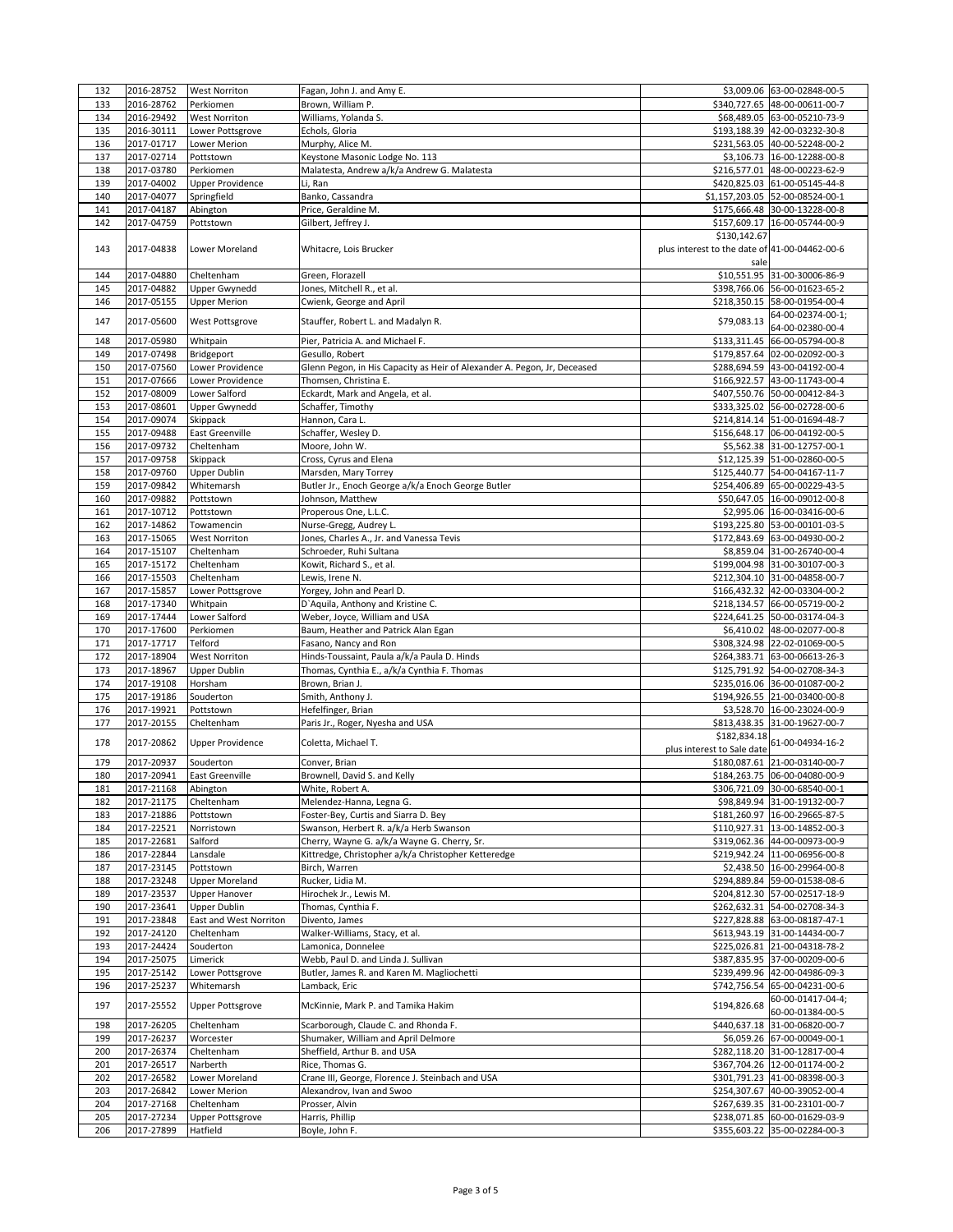| 132        | 2016-28752               | <b>West Norriton</b>         | Fagan, John J. and Amy E.                                                |                                               | \$3,009.06 63-00-02848-00-5                                    |
|------------|--------------------------|------------------------------|--------------------------------------------------------------------------|-----------------------------------------------|----------------------------------------------------------------|
| 133        | 2016-28762               | Perkiomen                    | Brown, William P.                                                        |                                               | \$340,727.65 48-00-00611-00-7                                  |
| 134        | 2016-29492               | <b>West Norriton</b>         | Williams, Yolanda S.                                                     |                                               | \$68,489.05 63-00-05210-73-9                                   |
| 135        | 2016-30111               | Lower Pottsgrove             | Echols, Gloria                                                           |                                               | \$193,188.39 42-00-03232-30-8                                  |
| 136        | 2017-01717               | Lower Merion                 | Murphy, Alice M.                                                         |                                               | \$231,563.05 40-00-52248-00-2                                  |
| 137        | 2017-02714               |                              |                                                                          |                                               |                                                                |
|            |                          | Pottstown                    | Keystone Masonic Lodge No. 113                                           |                                               | \$3,106.73 16-00-12288-00-8                                    |
| 138        | 2017-03780               | Perkiomen                    | Malatesta, Andrew a/k/a Andrew G. Malatesta                              |                                               | \$216,577.01 48-00-00223-62-9                                  |
| 139        | 2017-04002               | <b>Upper Providence</b>      | Li, Ran                                                                  |                                               | \$420,825.03 61-00-05145-44-8                                  |
| 140        | 2017-04077               | Springfield                  | Banko, Cassandra                                                         |                                               | \$1,157,203.05 52-00-08524-00-1                                |
| 141        | 2017-04187               | Abington                     | Price, Geraldine M.                                                      |                                               | \$175,666.48 30-00-13228-00-8                                  |
| 142        | 2017-04759               | Pottstown                    | Gilbert, Jeffrey J.                                                      |                                               | \$157,609.17 16-00-05744-00-9                                  |
|            |                          |                              |                                                                          | \$130,142.67                                  |                                                                |
| 143        | 2017-04838               | Lower Moreland               | Whitacre, Lois Brucker                                                   | plus interest to the date of 41-00-04462-00-6 |                                                                |
|            |                          |                              |                                                                          | sale                                          |                                                                |
| 144        | 2017-04880               | Cheltenham                   | Green, Florazell                                                         |                                               | \$10,551.95 31-00-30006-86-9                                   |
| 145        | 2017-04882               | Upper Gwynedd                | Jones, Mitchell R., et al.                                               |                                               | \$398,766.06 56-00-01623-65-2                                  |
|            |                          |                              | Cwienk, George and April                                                 |                                               |                                                                |
| 146        | 2017-05155               | <b>Upper Merion</b>          |                                                                          |                                               | \$218,350.15 58-00-01954-00-4                                  |
| 147        | 2017-05600               | <b>West Pottsgrove</b>       | Stauffer, Robert L. and Madalyn R.                                       | \$79,083.13                                   | 64-00-02374-00-1;                                              |
|            |                          |                              |                                                                          |                                               | 64-00-02380-00-4                                               |
| 148        | 2017-05980               | Whitpain                     | Pier, Patricia A. and Michael F.                                         |                                               | \$133,311.45 66-00-05794-00-8                                  |
| 149        | 2017-07498               | Bridgeport                   | Gesullo, Robert                                                          |                                               | \$179,857.64 02-00-02092-00-3                                  |
| 150        | 2017-07560               | Lower Providence             | Glenn Pegon, in His Capacity as Heir of Alexander A. Pegon, Jr, Deceased |                                               | \$288,694.59 43-00-04192-00-4                                  |
| 151        | 2017-07666               | Lower Providence             | Thomsen, Christina E.                                                    |                                               | \$166,922.57 43-00-11743-00-4                                  |
| 152        | 2017-08009               | Lower Salford                | Eckardt, Mark and Angela, et al.                                         |                                               | \$407,550.76 50-00-00412-84-3                                  |
| 153        | 2017-08601               | Upper Gwynedd                | Schaffer, Timothy                                                        |                                               | \$333,325.02 56-00-02728-00-6                                  |
| 154        | 2017-09074               | Skippack                     | Hannon, Cara L.                                                          |                                               | \$214,814.14 51-00-01694-48-7                                  |
| 155        | 2017-09488               | <b>East Greenville</b>       | Schaffer, Wesley D.                                                      |                                               | \$156,648.17 06-00-04192-00-5                                  |
|            |                          |                              |                                                                          |                                               |                                                                |
| 156        | 2017-09732               | Cheltenham                   | Moore, John W.                                                           |                                               | \$5,562.38 31-00-12757-00-1                                    |
| 157        | 2017-09758               | Skippack                     | Cross, Cyrus and Elena                                                   |                                               | \$12,125.39 51-00-02860-00-5                                   |
| 158        | 2017-09760               | Upper Dublin                 | Marsden, Mary Torrey                                                     |                                               | \$125,440.77 54-00-04167-11-7                                  |
| 159        | 2017-09842               | Whitemarsh                   | Butler Jr., Enoch George a/k/a Enoch George Butler                       |                                               | \$254,406.89 65-00-00229-43-5                                  |
| 160        | 2017-09882               | Pottstown                    | Johnson, Matthew                                                         |                                               | \$50,647.05 16-00-09012-00-8                                   |
| 161        | 2017-10712               | Pottstown                    | Properous One, L.L.C.                                                    |                                               | \$2,995.06 16-00-03416-00-6                                    |
| 162        | 2017-14862               | Towamencin                   | Nurse-Gregg, Audrey L.                                                   |                                               | \$193,225.80 53-00-00101-03-5                                  |
| 163        | 2017-15065               | <b>West Norriton</b>         | Jones, Charles A., Jr. and Vanessa Tevis                                 |                                               | \$172,843.69 63-00-04930-00-2                                  |
| 164        | 2017-15107               | Cheltenham                   | Schroeder, Ruhi Sultana                                                  |                                               | \$8,859.04 31-00-26740-00-4                                    |
| 165        | 2017-15172               | Cheltenham                   | Kowit, Richard S., et al.                                                |                                               | \$199,004.98 31-00-30107-00-3                                  |
|            |                          |                              |                                                                          |                                               |                                                                |
| 166        | 2017-15503               | Cheltenham                   | Lewis, Irene N.                                                          |                                               | \$212,304.10 31-00-04858-00-7                                  |
| 167        | 2017-15857               | Lower Pottsgrove             | Yorgey, John and Pearl D.                                                |                                               | \$166,432.32 42-00-03304-00-2                                  |
| 168        | 2017-17340               | Whitpain                     | D'Aquila, Anthony and Kristine C.                                        |                                               | \$218,134.57 66-00-05719-00-2                                  |
|            |                          |                              |                                                                          |                                               |                                                                |
| 169        | 2017-17444               | Lower Salford                | Weber, Joyce, William and USA                                            |                                               | \$224,641.25 50-00-03174-04-3                                  |
| 170        | 2017-17600               | Perkiomen                    | Baum, Heather and Patrick Alan Egan                                      |                                               | \$6,410.02 48-00-02077-00-8                                    |
| 171        | 2017-17717               | Telford                      | Fasano, Nancy and Ron                                                    |                                               | \$308,324.98 22-02-01069-00-5                                  |
| 172        | 2017-18904               | <b>West Norriton</b>         | Hinds-Toussaint, Paula a/k/a Paula D. Hinds                              |                                               | \$264,383.71 63-00-06613-26-3                                  |
| 173        | 2017-18967               | Upper Dublin                 | Thomas, Cynthia E., a/k/a Cynthia F. Thomas                              |                                               | \$125,791.92 54-00-02708-34-3                                  |
| 174        | 2017-19108               | Horsham                      | Brown, Brian J.                                                          |                                               | \$235,016.06 36-00-01087-00-2                                  |
|            |                          |                              |                                                                          |                                               |                                                                |
| 175        | 2017-19186               | Souderton                    | Smith, Anthony J.                                                        |                                               | \$194,926.55 21-00-03400-00-8                                  |
| 176        | 2017-19921               | Pottstown                    | Hefelfinger, Brian                                                       |                                               | \$3,528.70 16-00-23024-00-9                                    |
| 177        | 2017-20155               | Cheltenham                   | Paris Jr., Roger, Nyesha and USA                                         |                                               | \$813,438.35 31-00-19627-00-7                                  |
| 178        | 2017-20862               | <b>Upper Providence</b>      | Coletta, Michael T.                                                      | \$182,834.18                                  | 61-00-04934-16-2                                               |
|            |                          |                              |                                                                          | plus interest to Sale date                    |                                                                |
| 179        | 2017-20937               | Souderton                    | Conver, Brian                                                            |                                               | \$180,087.61 21-00-03140-00-7                                  |
| 180        | 2017-20941               | <b>East Greenville</b>       | Brownell, David S. and Kelly                                             |                                               | \$184,263.75 06-00-04080-00-9                                  |
| 181        | 2017-21168               | Abington                     | White, Robert A.                                                         |                                               | \$306,721.09 30-00-68540-00-1                                  |
| 182        | 2017-21175               | Cheltenham                   | Melendez-Hanna, Legna G.                                                 |                                               | \$98,849.94 31-00-19132-00-7                                   |
| 183        | 2017-21886               | Pottstown                    | Foster-Bey, Curtis and Siarra D. Bey                                     |                                               | \$181,260.97 16-00-29665-87-5                                  |
| 184        | 2017-22521               | Norristown                   | Swanson, Herbert R. a/k/a Herb Swanson                                   |                                               | \$110,927.31 13-00-14852-00-3                                  |
| 185        | 2017-22681               | Salford                      | Cherry, Wayne G. a/k/a Wayne G. Cherry, Sr.                              |                                               | \$319,062.36 44-00-00973-00-9                                  |
| 186        | 2017-22844               | Lansdale                     | Kittredge, Christopher a/k/a Christopher Ketteredge                      |                                               | \$219,942.24 11-00-06956-00-8                                  |
| 187        | 2017-23145               | Pottstown                    | Birch, Warren                                                            |                                               | \$2,438.50 16-00-29964-00-8                                    |
|            |                          |                              |                                                                          |                                               |                                                                |
| 188        | 2017-23248               | <b>Upper Moreland</b>        | Rucker, Lidia M.                                                         |                                               | \$294,889.84 59-00-01538-08-6                                  |
| 189        | 2017-23537               | Upper Hanover                | Hirochek Jr., Lewis M.                                                   |                                               | \$204,812.30 57-00-02517-18-9                                  |
| 190        | 2017-23641               | <b>Upper Dublin</b>          | Thomas, Cynthia F.                                                       |                                               | \$262,632.31 54-00-02708-34-3                                  |
| 191        | 2017-23848               | East and West Norriton       | Divento, James                                                           |                                               | \$227,828.88 63-00-08187-47-1                                  |
| 192        | 2017-24120               | Cheltenham                   | Walker-Williams, Stacy, et al.                                           |                                               | \$613,943.19 31-00-14434-00-7                                  |
| 193        | 2017-24424               | Souderton                    | Lamonica, Donnelee                                                       |                                               | \$225,026.81 21-00-04318-78-2                                  |
| 194        | 2017-25075               | Limerick                     | Webb, Paul D. and Linda J. Sullivan                                      |                                               | \$387,835.95 37-00-00209-00-6                                  |
| 195        | 2017-25142               | Lower Pottsgrove             | Butler, James R. and Karen M. Magliochetti                               |                                               | \$239,499.96 42-00-04986-09-3                                  |
| 196        | 2017-25237               | Whitemarsh                   | Lamback, Eric                                                            |                                               | \$742,756.54 65-00-04231-00-6                                  |
|            |                          |                              |                                                                          |                                               | 60-00-01417-04-4;                                              |
| 197        | 2017-25552               | <b>Upper Pottsgrove</b>      | McKinnie, Mark P. and Tamika Hakim                                       | \$194,826.68                                  | 60-00-01384-00-5                                               |
|            |                          |                              |                                                                          |                                               |                                                                |
| 198        | 2017-26205               | Cheltenham                   | Scarborough, Claude C. and Rhonda F.                                     |                                               | \$440,637.18 31-00-06820-00-7                                  |
| 199        | 2017-26237               | Worcester                    | Shumaker, William and April Delmore                                      |                                               | \$6,059.26 67-00-00049-00-1                                    |
| 200        | 2017-26374               | Cheltenham                   | Sheffield, Arthur B. and USA                                             |                                               | \$282,118.20 31-00-12817-00-4                                  |
| 201        | 2017-26517               | Narberth                     | Rice, Thomas G.                                                          |                                               | \$367,704.26 12-00-01174-00-2                                  |
| 202        | 2017-26582               | Lower Moreland               | Crane III, George, Florence J. Steinbach and USA                         |                                               | \$301,791.23 41-00-08398-00-3                                  |
| 203        | 2017-26842               | Lower Merion                 | Alexandrov, Ivan and Swoo                                                |                                               | \$254,307.67 40-00-39052-00-4                                  |
| 204        | 2017-27168               | Cheltenham                   | Prosser, Alvin                                                           |                                               | \$267,639.35 31-00-23101-00-7                                  |
| 205<br>206 | 2017-27234<br>2017-27899 | Upper Pottsgrove<br>Hatfield | Harris, Phillip<br>Boyle, John F.                                        |                                               | \$238,071.85 60-00-01629-03-9<br>\$355,603.22 35-00-02284-00-3 |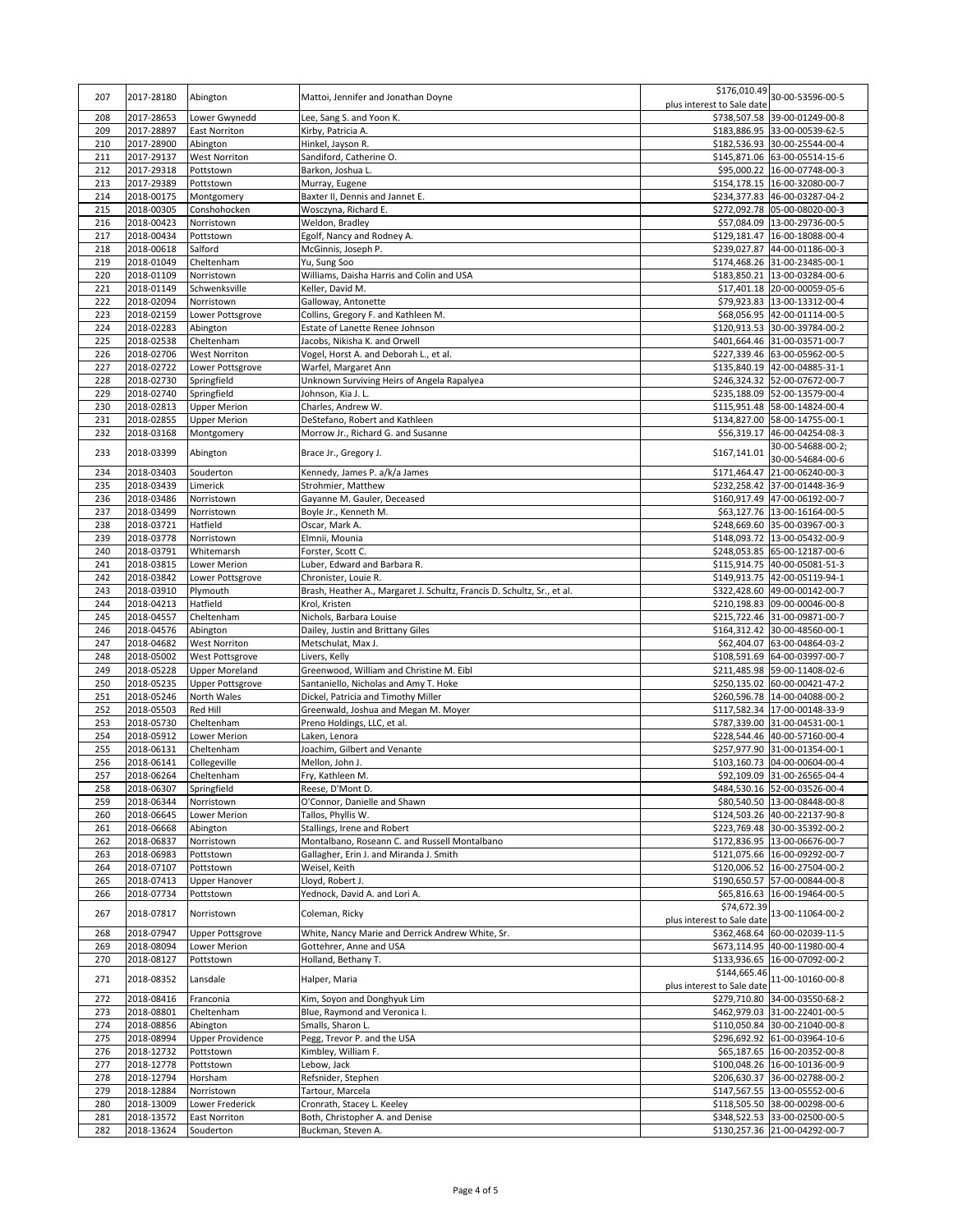| 207        | 2017-28180               | Abington                         | Mattoi, Jennifer and Jonathan Doyne                                     | \$176,010.49<br>plus interest to Sale date | 30-00-53596-00-5                                              |
|------------|--------------------------|----------------------------------|-------------------------------------------------------------------------|--------------------------------------------|---------------------------------------------------------------|
| 208        | 2017-28653               | Lower Gwynedd                    | Lee, Sang S. and Yoon K.                                                |                                            | \$738,507.58 39-00-01249-00-8                                 |
| 209        | 2017-28897               | East Norriton                    | Kirby, Patricia A.                                                      |                                            | \$183,886.95 33-00-00539-62-5                                 |
| 210        | 2017-28900               | Abington                         | Hinkel, Jayson R.                                                       |                                            | \$182,536.93 30-00-25544-00-4                                 |
| 211        | 2017-29137               | <b>West Norriton</b>             | Sandiford, Catherine O.                                                 |                                            | \$145,871.06 63-00-05514-15-6                                 |
| 212        | 2017-29318               | Pottstown                        | Barkon, Joshua L.                                                       |                                            | \$95,000.22 16-00-07748-00-3                                  |
| 213        | 2017-29389               | Pottstown                        | Murray, Eugene                                                          |                                            | \$154,178.15 16-00-32080-00-7                                 |
| 214        | 2018-00175               | Montgomery                       | Baxter II, Dennis and Jannet E.                                         |                                            | \$234,377.83 46-00-03287-04-2                                 |
| 215        | 2018-00305               | Conshohocken                     | Wosczyna, Richard E.                                                    |                                            | \$272,092.78 05-00-08020-00-3                                 |
| 216        | 2018-00423               | Norristown                       | Weldon, Bradley                                                         |                                            | \$57,084.09 13-00-29736-00-5                                  |
| 217        | 2018-00434               | Pottstown                        | Egolf, Nancy and Rodney A.                                              |                                            | \$129,181.47 16-00-18088-00-4                                 |
| 218        | 2018-00618               | Salford                          | McGinnis, Joseph P.                                                     |                                            | \$239,027.87 44-00-01186-00-3                                 |
| 219        | 2018-01049               | Cheltenham                       | Yu, Sung Soo                                                            |                                            | \$174,468.26 31-00-23485-00-1                                 |
| 220        | 2018-01109               | Norristown                       | Williams, Daisha Harris and Colin and USA                               |                                            | \$183,850.21 13-00-03284-00-6                                 |
| 221        | 2018-01149               | Schwenksville                    | Keller, David M.                                                        |                                            | \$17,401.18 20-00-00059-05-6                                  |
| 222        | 2018-02094               | Norristown                       | Galloway, Antonette                                                     |                                            | \$79,923.83 13-00-13312-00-4                                  |
| 223        | 2018-02159               | Lower Pottsgrove                 | Collins, Gregory F. and Kathleen M.                                     |                                            | \$68,056.95 42-00-01114-00-5                                  |
| 224        | 2018-02283               | Abington                         | Estate of Lanette Renee Johnson                                         |                                            | \$120,913.53 30-00-39784-00-2                                 |
| 225        | 2018-02538               | Cheltenham                       | Jacobs, Nikisha K. and Orwell                                           |                                            | \$401,664.46 31-00-03571-00-7                                 |
| 226        | 2018-02706               | <b>West Norriton</b>             | Vogel, Horst A. and Deborah L., et al.                                  |                                            | \$227,339.46 63-00-05962-00-5                                 |
| 227        | 2018-02722               | Lower Pottsgrove                 | Warfel, Margaret Ann                                                    |                                            | \$135,840.19 42-00-04885-31-1                                 |
| 228        | 2018-02730               | Springfield                      | Unknown Surviving Heirs of Angela Rapalyea                              |                                            | \$246,324.32 52-00-07672-00-7                                 |
| 229        | 2018-02740               | Springfield                      | Johnson, Kia J. L                                                       |                                            | \$235,188.09 52-00-13579-00-4                                 |
| 230        | 2018-02813               | <b>Upper Merion</b>              | Charles, Andrew W.                                                      |                                            | \$115,951.48 58-00-14824-00-4                                 |
| 231        | 2018-02855               | <b>Upper Merion</b>              | DeStefano, Robert and Kathleen                                          |                                            | \$134,827.00 58-00-14755-00-1                                 |
| 232        | 2018-03168               | Montgomery                       | Morrow Jr., Richard G. and Susanne                                      |                                            | \$56,319.17 46-00-04254-08-3                                  |
| 233        | 2018-03399               | Abington                         | Brace Jr., Gregory J.                                                   | \$167,141.01                               | 30-00-54688-00-2;                                             |
|            |                          |                                  |                                                                         |                                            | 30-00-54684-00-6                                              |
| 234        | 2018-03403               | Souderton                        | Kennedy, James P. a/k/a James                                           |                                            | \$171,464.47 21-00-06240-00-3                                 |
| 235        | 2018-03439               | Limerick                         | Strohmier, Matthew                                                      |                                            | \$232,258.42 37-00-01448-36-9                                 |
| 236        | 2018-03486               | Norristown                       | Gayanne M. Gauler, Deceased                                             |                                            | \$160,917.49 47-00-06192-00-7                                 |
| 237        | 2018-03499               | Norristown                       | Boyle Jr., Kenneth M.                                                   |                                            | \$63,127.76 13-00-16164-00-5                                  |
| 238        | 2018-03721               | Hatfield                         | Oscar, Mark A.                                                          |                                            | \$248,669.60 35-00-03967-00-3                                 |
| 239        | 2018-03778               | Norristown                       | Elmnii, Mounia                                                          |                                            | \$148,093.72 13-00-05432-00-9                                 |
| 240        | 2018-03791               | Whitemarsh                       | Forster, Scott C.                                                       |                                            | \$248,053.85 65-00-12187-00-6                                 |
| 241        | 2018-03815               | Lower Merion                     | Luber, Edward and Barbara R.                                            |                                            | \$115,914.75 40-00-05081-51-3                                 |
| 242        | 2018-03842               | Lower Pottsgrove                 | Chronister, Louie R.                                                    |                                            | \$149,913.75 42-00-05119-94-1                                 |
| 243        | 2018-03910               | Plymouth                         | Brash, Heather A., Margaret J. Schultz, Francis D. Schultz, Sr., et al. |                                            | \$322,428.60 49-00-00142-00-7                                 |
| 244        | 2018-04213               | Hatfield                         | Krol, Kristen                                                           |                                            | \$210,198.83 09-00-00046-00-8                                 |
| 245        | 2018-04557               | Cheltenham                       | Nichols, Barbara Louise                                                 |                                            | \$215,722.46 31-00-09871-00-7                                 |
| 246<br>247 | 2018-04576<br>2018-04682 | Abington<br><b>West Norriton</b> | Dailey, Justin and Brittany Giles<br>Metschulat, Max J.                 |                                            | \$164,312.42 30-00-48560-00-1<br>\$62,404.07 63-00-04864-03-2 |
| 248        | 2018-05002               | West Pottsgrove                  | Livers, Kelly                                                           |                                            | \$108,591.69 64-00-03997-00-7                                 |
| 249        | 2018-05228               | <b>Upper Moreland</b>            | Greenwood, William and Christine M. Eibl                                |                                            | \$211,485.98 59-00-11408-02-6                                 |
| 250        | 2018-05235               | <b>Upper Pottsgrove</b>          | Santaniello, Nicholas and Amy T. Hoke                                   |                                            | \$250,135.02 60-00-00421-47-2                                 |
| 251        | 2018-05246               | North Wales                      | Dickel, Patricia and Timothy Miller                                     |                                            | \$260,596.78 14-00-04088-00-2                                 |
| 252        | 2018-05503               | Red Hill                         | Greenwald, Joshua and Megan M. Moyer                                    |                                            | \$117,582.34 17-00-00148-33-9                                 |
| 253        | 2018-05730               | Cheltenham                       | Preno Holdings, LLC, et al.                                             |                                            | \$787,339.00 31-00-04531-00-1                                 |
| 254        | 2018-05912               | Lower Merion                     | Laken, Lenora                                                           |                                            | \$228,544.46 40-00-57160-00-4                                 |
| 255        | 2018-06131               | Cheltenham                       | Joachim, Gilbert and Venante                                            |                                            | \$257,977.90 31-00-01354-00-1                                 |
| 256        | 2018-06141               | Collegeville                     | Mellon, John J.                                                         |                                            | \$103,160.73 04-00-00604-00-4                                 |
| 257        | 2018-06264               | Cheltenham                       | Fry, Kathleen M.                                                        |                                            | \$92,109.09 31-00-26565-04-4                                  |
| 258        | 2018-06307               | Springfield                      | Reese, D'Mont D.                                                        |                                            | \$484,530.16 52-00-03526-00-4                                 |
| 259        | 2018-06344               | Norristown                       | O'Connor, Danielle and Shawn                                            |                                            | \$80,540.50 13-00-08448-00-8                                  |
| 260        | 2018-06645               | Lower Merion                     | Tallos, Phyllis W.                                                      |                                            | \$124,503.26 40-00-22137-90-8                                 |
| 261        | 2018-06668               | Abington                         | Stallings, Irene and Robert                                             |                                            | \$223,769.48 30-00-35392-00-2                                 |
| 262        | 2018-06837               | Norristown                       | Montalbano, Roseann C. and Russell Montalbano                           |                                            | \$172,836.95 13-00-06676-00-7                                 |
| 263        | 2018-06983               | Pottstown                        | Gallagher, Erin J. and Miranda J. Smith                                 |                                            | \$121,075.66 16-00-09292-00-7                                 |
| 264        | 2018-07107               | Pottstown                        | Weisel, Keith                                                           |                                            | \$120,006.52 16-00-27504-00-2                                 |
| 265        | 2018-07413               | Upper Hanover                    | Llovd. Robert J.                                                        |                                            | \$190,650.57 57-00-00844-00-8                                 |
| 266        | 2018-07734               | Pottstown                        | Yednock, David A. and Lori A.                                           |                                            | \$65,816.63 16-00-19464-00-5                                  |
| 267        | 2018-07817               | Norristown                       | Coleman, Ricky                                                          | \$74,672.39                                | 13-00-11064-00-2                                              |
|            |                          |                                  |                                                                         | plus interest to Sale date                 |                                                               |
| 268        | 2018-07947               | <b>Upper Pottsgrove</b>          | White, Nancy Marie and Derrick Andrew White, Sr.                        |                                            | \$362,468.64 60-00-02039-11-5                                 |
| 269        | 2018-08094               | Lower Merion                     | Gottehrer, Anne and USA                                                 |                                            | \$673,114.95 40-00-11980-00-4                                 |
| 270        | 2018-08127               | Pottstown                        | Holland, Bethany T.                                                     |                                            | \$133,936.65 16-00-07092-00-2                                 |
| 271        | 2018-08352               | Lansdale                         | Halper, Maria                                                           | \$144,665.46<br>plus interest to Sale date | 11-00-10160-00-8                                              |
| 272        |                          | Franconia                        | Kim, Soyon and Donghyuk Lim                                             |                                            | \$279,710.80 34-00-03550-68-2                                 |
| 273        | 2018-08416<br>2018-08801 | Cheltenham                       | Blue, Raymond and Veronica I.                                           |                                            | \$462,979.03 31-00-22401-00-5                                 |
| 274        | 2018-08856               | Abington                         | Smalls, Sharon L.                                                       |                                            | \$110,050.84 30-00-21040-00-8                                 |
| 275        | 2018-08994               | <b>Upper Providence</b>          | Pegg, Trevor P. and the USA                                             |                                            | \$296,692.92 61-00-03964-10-6                                 |
| 276        | 2018-12732               | Pottstown                        | Kimbley, William F.                                                     |                                            | \$65,187.65 16-00-20352-00-8                                  |
| 277        | 2018-12778               | Pottstown                        | Lebow, Jack                                                             |                                            | \$100,048.26 16-00-10136-00-9                                 |
| 278        | 2018-12794               | Horsham                          | Refsnider, Stephen                                                      |                                            | \$206,630.37 36-00-02788-00-2                                 |
| 279        | 2018-12884               | Norristown                       | Tartour, Marcela                                                        |                                            | \$147,567.55 13-00-05552-00-6                                 |
| 280        | 2018-13009               | Lower Frederick                  | Cronrath, Stacey L. Keeley                                              |                                            | \$118,505.50 38-00-00298-00-6                                 |
| 281        | 2018-13572               | <b>East Norriton</b>             | Both, Christopher A. and Denise                                         |                                            | \$348,522.53 33-00-02500-00-5                                 |
| 282        | 2018-13624               | Souderton                        | Buckman, Steven A.                                                      |                                            | \$130,257.36 21-00-04292-00-7                                 |
|            |                          |                                  |                                                                         |                                            |                                                               |